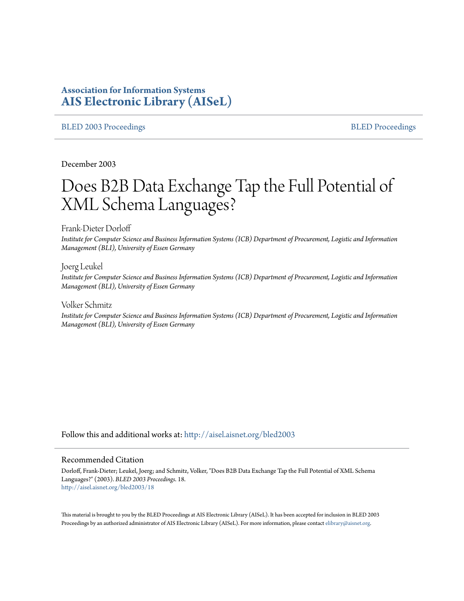# **Association for Information Systems [AIS Electronic Library \(AISeL\)](http://aisel.aisnet.org?utm_source=aisel.aisnet.org%2Fbled2003%2F18&utm_medium=PDF&utm_campaign=PDFCoverPages)**

#### [BLED 2003 Proceedings](http://aisel.aisnet.org/bled2003?utm_source=aisel.aisnet.org%2Fbled2003%2F18&utm_medium=PDF&utm_campaign=PDFCoverPages) and the state of the state of the [BLED Proceedings](http://aisel.aisnet.org/bled?utm_source=aisel.aisnet.org%2Fbled2003%2F18&utm_medium=PDF&utm_campaign=PDFCoverPages) and the BLED Proceedings and the BLED Proceedings and the BLED Proceedings and the BLED Proceedings and the BLED Proceedings and the BLED Proceedings

December 2003

# Does B2B Data Exchange Tap the Full Potential of XML Schema Languages?

Frank-Dieter Dorloff

*Institute for Computer Science and Business Information Systems (ICB) Department of Procurement, Logistic and Information Management (BLI), University of Essen Germany*

Joerg Leukel *Institute for Computer Science and Business Information Systems (ICB) Department of Procurement, Logistic and Information Management (BLI), University of Essen Germany*

Volker Schmitz *Institute for Computer Science and Business Information Systems (ICB) Department of Procurement, Logistic and Information Management (BLI), University of Essen Germany*

Follow this and additional works at: [http://aisel.aisnet.org/bled2003](http://aisel.aisnet.org/bled2003?utm_source=aisel.aisnet.org%2Fbled2003%2F18&utm_medium=PDF&utm_campaign=PDFCoverPages)

#### Recommended Citation

Dorloff, Frank-Dieter; Leukel, Joerg; and Schmitz, Volker, "Does B2B Data Exchange Tap the Full Potential of XML Schema Languages?" (2003). *BLED 2003 Proceedings*. 18. [http://aisel.aisnet.org/bled2003/18](http://aisel.aisnet.org/bled2003/18?utm_source=aisel.aisnet.org%2Fbled2003%2F18&utm_medium=PDF&utm_campaign=PDFCoverPages)

This material is brought to you by the BLED Proceedings at AIS Electronic Library (AISeL). It has been accepted for inclusion in BLED 2003 Proceedings by an authorized administrator of AIS Electronic Library (AISeL). For more information, please contact [elibrary@aisnet.org](mailto:elibrary@aisnet.org%3E).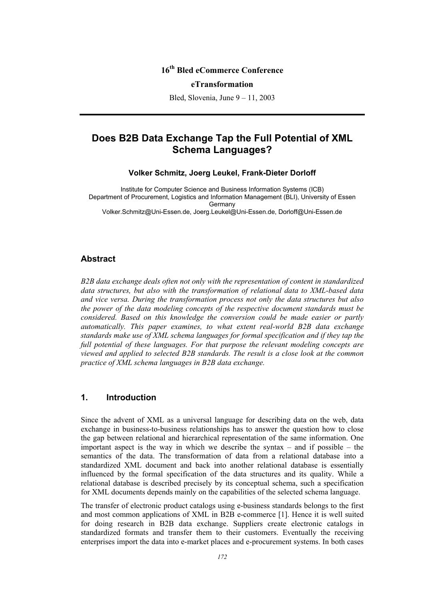## **16th Bled eCommerce Conference**

#### **eTransformation**

Bled, Slovenia, June 9 – 11, 2003

# **Does B2B Data Exchange Tap the Full Potential of XML Schema Languages?**

**Volker Schmitz, Joerg Leukel, Frank-Dieter Dorloff** 

Institute for Computer Science and Business Information Systems (ICB) Department of Procurement, Logistics and Information Management (BLI), University of Essen Germany Volker.Schmitz@Uni-Essen.de, Joerg.Leukel@Uni-Essen.de, Dorloff@Uni-Essen.de

#### **Abstract**

*B2B data exchange deals often not only with the representation of content in standardized data structures, but also with the transformation of relational data to XML-based data and vice versa. During the transformation process not only the data structures but also the power of the data modeling concepts of the respective document standards must be considered. Based on this knowledge the conversion could be made easier or partly automatically. This paper examines, to what extent real-world B2B data exchange standards make use of XML schema languages for formal specification and if they tap the full potential of these languages. For that purpose the relevant modeling concepts are viewed and applied to selected B2B standards. The result is a close look at the common practice of XML schema languages in B2B data exchange.* 

#### **1. Introduction**

Since the advent of XML as a universal language for describing data on the web, data exchange in business-to-business relationships has to answer the question how to close the gap between relational and hierarchical representation of the same information. One important aspect is the way in which we describe the syntax – and if possible – the semantics of the data. The transformation of data from a relational database into a standardized XML document and back into another relational database is essentially influenced by the formal specification of the data structures and its quality. While a relational database is described precisely by its conceptual schema, such a specification for XML documents depends mainly on the capabilities of the selected schema language.

The transfer of electronic product catalogs using e-business standards belongs to the first and most common applications of XML in B2B e-commerce [1]. Hence it is well suited for doing research in B2B data exchange. Suppliers create electronic catalogs in standardized formats and transfer them to their customers. Eventually the receiving enterprises import the data into e-market places and e-procurement systems. In both cases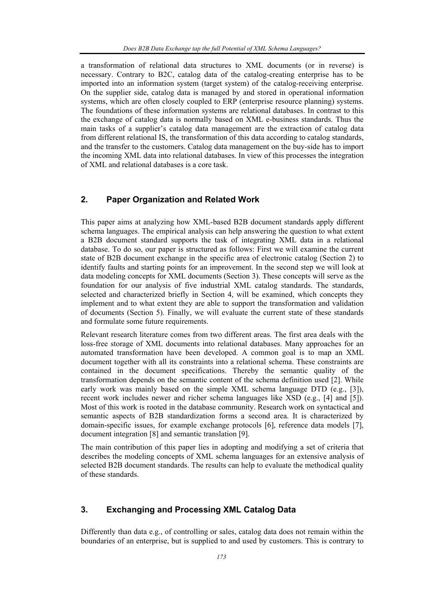a transformation of relational data structures to XML documents (or in reverse) is necessary. Contrary to B2C, catalog data of the catalog-creating enterprise has to be imported into an information system (target system) of the catalog-receiving enterprise. On the supplier side, catalog data is managed by and stored in operational information systems, which are often closely coupled to ERP (enterprise resource planning) systems. The foundations of these information systems are relational databases. In contrast to this the exchange of catalog data is normally based on XML e-business standards. Thus the main tasks of a supplier's catalog data management are the extraction of catalog data from different relational IS, the transformation of this data according to catalog standards, and the transfer to the customers. Catalog data management on the buy-side has to import the incoming XML data into relational databases. In view of this processes the integration of XML and relational databases is a core task.

## **2. Paper Organization and Related Work**

This paper aims at analyzing how XML-based B2B document standards apply different schema languages. The empirical analysis can help answering the question to what extent a B2B document standard supports the task of integrating XML data in a relational database. To do so, our paper is structured as follows: First we will examine the current state of B2B document exchange in the specific area of electronic catalog (Section 2) to identify faults and starting points for an improvement. In the second step we will look at data modeling concepts for XML documents (Section 3). These concepts will serve as the foundation for our analysis of five industrial XML catalog standards. The standards, selected and characterized briefly in Section 4, will be examined, which concepts they implement and to what extent they are able to support the transformation and validation of documents (Section 5). Finally, we will evaluate the current state of these standards and formulate some future requirements.

Relevant research literature comes from two different areas. The first area deals with the loss-free storage of XML documents into relational databases. Many approaches for an automated transformation have been developed. A common goal is to map an XML document together with all its constraints into a relational schema. These constraints are contained in the document specifications. Thereby the semantic quality of the transformation depends on the semantic content of the schema definition used [2]. While early work was mainly based on the simple XML schema language DTD (e.g., [3]), recent work includes newer and richer schema languages like XSD (e.g., [4] and [5]). Most of this work is rooted in the database community. Research work on syntactical and semantic aspects of B2B standardization forms a second area. It is characterized by domain-specific issues, for example exchange protocols [6], reference data models [7], document integration [8] and semantic translation [9].

The main contribution of this paper lies in adopting and modifying a set of criteria that describes the modeling concepts of XML schema languages for an extensive analysis of selected B2B document standards. The results can help to evaluate the methodical quality of these standards.

#### **3. Exchanging and Processing XML Catalog Data**

Differently than data e.g., of controlling or sales, catalog data does not remain within the boundaries of an enterprise, but is supplied to and used by customers. This is contrary to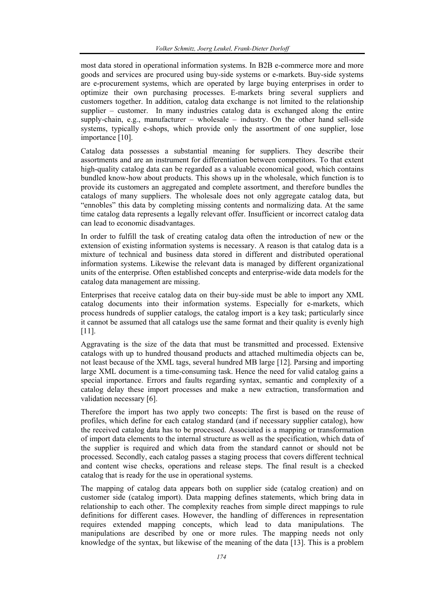most data stored in operational information systems. In B2B e-commerce more and more goods and services are procured using buy-side systems or e-markets. Buy-side systems are e-procurement systems, which are operated by large buying enterprises in order to optimize their own purchasing processes. E-markets bring several suppliers and customers together. In addition, catalog data exchange is not limited to the relationship supplier – customer. In many industries catalog data is exchanged along the entire supply-chain, e.g., manufacturer – wholesale – industry. On the other hand sell-side systems, typically e-shops, which provide only the assortment of one supplier, lose importance [10].

Catalog data possesses a substantial meaning for suppliers. They describe their assortments and are an instrument for differentiation between competitors. To that extent high-quality catalog data can be regarded as a valuable economical good, which contains bundled know-how about products. This shows up in the wholesale, which function is to provide its customers an aggregated and complete assortment, and therefore bundles the catalogs of many suppliers. The wholesale does not only aggregate catalog data, but "ennobles" this data by completing missing contents and normalizing data. At the same time catalog data represents a legally relevant offer. Insufficient or incorrect catalog data can lead to economic disadvantages.

In order to fulfill the task of creating catalog data often the introduction of new or the extension of existing information systems is necessary. A reason is that catalog data is a mixture of technical and business data stored in different and distributed operational information systems. Likewise the relevant data is managed by different organizational units of the enterprise. Often established concepts and enterprise-wide data models for the catalog data management are missing.

Enterprises that receive catalog data on their buy-side must be able to import any XML catalog documents into their information systems. Especially for e-markets, which process hundreds of supplier catalogs, the catalog import is a key task; particularly since it cannot be assumed that all catalogs use the same format and their quality is evenly high [11].

Aggravating is the size of the data that must be transmitted and processed. Extensive catalogs with up to hundred thousand products and attached multimedia objects can be, not least because of the XML tags, several hundred MB large [12]. Parsing and importing large XML document is a time-consuming task. Hence the need for valid catalog gains a special importance. Errors and faults regarding syntax, semantic and complexity of a catalog delay these import processes and make a new extraction, transformation and validation necessary [6].

Therefore the import has two apply two concepts: The first is based on the reuse of profiles, which define for each catalog standard (and if necessary supplier catalog), how the received catalog data has to be processed. Associated is a mapping or transformation of import data elements to the internal structure as well as the specification, which data of the supplier is required and which data from the standard cannot or should not be processed. Secondly, each catalog passes a staging process that covers different technical and content wise checks, operations and release steps. The final result is a checked catalog that is ready for the use in operational systems.

The mapping of catalog data appears both on supplier side (catalog creation) and on customer side (catalog import). Data mapping defines statements, which bring data in relationship to each other. The complexity reaches from simple direct mappings to rule definitions for different cases. However, the handling of differences in representation requires extended mapping concepts, which lead to data manipulations. The manipulations are described by one or more rules. The mapping needs not only knowledge of the syntax, but likewise of the meaning of the data [13]. This is a problem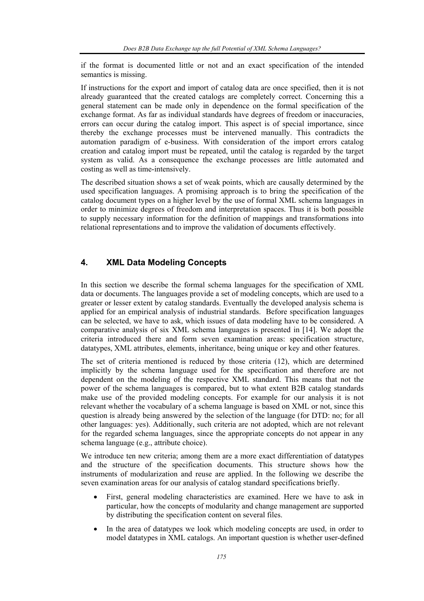if the format is documented little or not and an exact specification of the intended semantics is missing.

If instructions for the export and import of catalog data are once specified, then it is not already guaranteed that the created catalogs are completely correct. Concerning this a general statement can be made only in dependence on the formal specification of the exchange format. As far as individual standards have degrees of freedom or inaccuracies, errors can occur during the catalog import. This aspect is of special importance, since thereby the exchange processes must be intervened manually. This contradicts the automation paradigm of e-business. With consideration of the import errors catalog creation and catalog import must be repeated, until the catalog is regarded by the target system as valid. As a consequence the exchange processes are little automated and costing as well as time-intensively.

The described situation shows a set of weak points, which are causally determined by the used specification languages. A promising approach is to bring the specification of the catalog document types on a higher level by the use of formal XML schema languages in order to minimize degrees of freedom and interpretation spaces. Thus it is both possible to supply necessary information for the definition of mappings and transformations into relational representations and to improve the validation of documents effectively.

#### **4. XML Data Modeling Concepts**

In this section we describe the formal schema languages for the specification of XML data or documents. The languages provide a set of modeling concepts, which are used to a greater or lesser extent by catalog standards. Eventually the developed analysis schema is applied for an empirical analysis of industrial standards. Before specification languages can be selected, we have to ask, which issues of data modeling have to be considered. A comparative analysis of six XML schema languages is presented in [14]. We adopt the criteria introduced there and form seven examination areas: specification structure, datatypes, XML attributes, elements, inheritance, being unique or key and other features.

The set of criteria mentioned is reduced by those criteria (12), which are determined implicitly by the schema language used for the specification and therefore are not dependent on the modeling of the respective XML standard. This means that not the power of the schema languages is compared, but to what extent B2B catalog standards make use of the provided modeling concepts. For example for our analysis it is not relevant whether the vocabulary of a schema language is based on XML or not, since this question is already being answered by the selection of the language (for DTD: no; for all other languages: yes). Additionally, such criteria are not adopted, which are not relevant for the regarded schema languages, since the appropriate concepts do not appear in any schema language (e.g., attribute choice).

We introduce ten new criteria; among them are a more exact differentiation of datatypes and the structure of the specification documents. This structure shows how the instruments of modularization and reuse are applied. In the following we describe the seven examination areas for our analysis of catalog standard specifications briefly.

- First, general modeling characteristics are examined. Here we have to ask in particular, how the concepts of modularity and change management are supported by distributing the specification content on several files.
- In the area of datatypes we look which modeling concepts are used, in order to model datatypes in XML catalogs. An important question is whether user-defined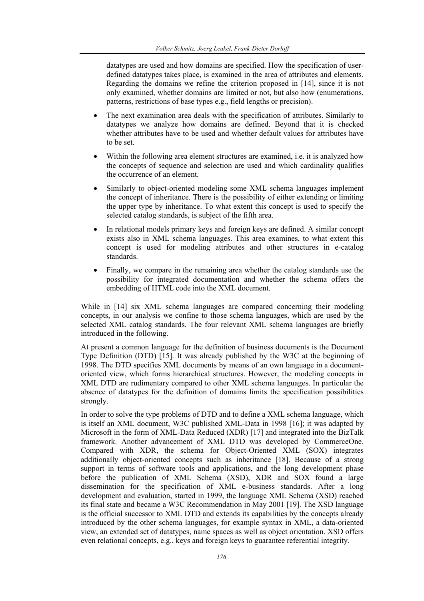datatypes are used and how domains are specified. How the specification of userdefined datatypes takes place, is examined in the area of attributes and elements. Regarding the domains we refine the criterion proposed in [14], since it is not only examined, whether domains are limited or not, but also how (enumerations, patterns, restrictions of base types e.g., field lengths or precision).

- The next examination area deals with the specification of attributes. Similarly to datatypes we analyze how domains are defined. Beyond that it is checked whether attributes have to be used and whether default values for attributes have to be set.
- Within the following area element structures are examined, i.e. it is analyzed how the concepts of sequence and selection are used and which cardinality qualifies the occurrence of an element.
- Similarly to object-oriented modeling some XML schema languages implement the concept of inheritance. There is the possibility of either extending or limiting the upper type by inheritance. To what extent this concept is used to specify the selected catalog standards, is subject of the fifth area.
- In relational models primary keys and foreign keys are defined. A similar concept exists also in XML schema languages. This area examines, to what extent this concept is used for modeling attributes and other structures in e-catalog standards.
- Finally, we compare in the remaining area whether the catalog standards use the possibility for integrated documentation and whether the schema offers the embedding of HTML code into the XML document.

While in [14] six XML schema languages are compared concerning their modeling concepts, in our analysis we confine to those schema languages, which are used by the selected XML catalog standards. The four relevant XML schema languages are briefly introduced in the following.

At present a common language for the definition of business documents is the Document Type Definition (DTD) [15]. It was already published by the W3C at the beginning of 1998. The DTD specifies XML documents by means of an own language in a documentoriented view, which forms hierarchical structures. However, the modeling concepts in XML DTD are rudimentary compared to other XML schema languages. In particular the absence of datatypes for the definition of domains limits the specification possibilities strongly.

In order to solve the type problems of DTD and to define a XML schema language, which is itself an XML document, W3C published XML-Data in 1998 [16]; it was adapted by Microsoft in the form of XML-Data Reduced (XDR) [17] and integrated into the BizTalk framework. Another advancement of XML DTD was developed by CommerceOne. Compared with XDR, the schema for Object-Oriented XML (SOX) integrates additionally object-oriented concepts such as inheritance [18]. Because of a strong support in terms of software tools and applications, and the long development phase before the publication of XML Schema (XSD), XDR and SOX found a large dissemination for the specification of XML e-business standards. After a long development and evaluation, started in 1999, the language XML Schema (XSD) reached its final state and became a W3C Recommendation in May 2001 [19]. The XSD language is the official successor to XML DTD and extends its capabilities by the concepts already introduced by the other schema languages, for example syntax in XML, a data-oriented view, an extended set of datatypes, name spaces as well as object orientation. XSD offers even relational concepts, e.g., keys and foreign keys to guarantee referential integrity.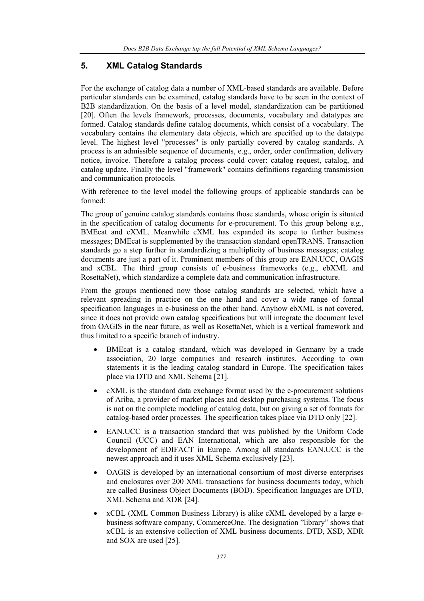# **5. XML Catalog Standards**

For the exchange of catalog data a number of XML-based standards are available. Before particular standards can be examined, catalog standards have to be seen in the context of B2B standardization. On the basis of a level model, standardization can be partitioned [20]. Often the levels framework, processes, documents, vocabulary and datatypes are formed. Catalog standards define catalog documents, which consist of a vocabulary. The vocabulary contains the elementary data objects, which are specified up to the datatype level. The highest level "processes" is only partially covered by catalog standards. A process is an admissible sequence of documents, e.g., order, order confirmation, delivery notice, invoice. Therefore a catalog process could cover: catalog request, catalog, and catalog update. Finally the level "framework" contains definitions regarding transmission and communication protocols.

With reference to the level model the following groups of applicable standards can be formed:

The group of genuine catalog standards contains those standards, whose origin is situated in the specification of catalog documents for e-procurement. To this group belong e.g., BMEcat and cXML. Meanwhile cXML has expanded its scope to further business messages; BMEcat is supplemented by the transaction standard openTRANS. Transaction standards go a step further in standardizing a multiplicity of business messages; catalog documents are just a part of it. Prominent members of this group are EAN.UCC, OAGIS and xCBL. The third group consists of e-business frameworks (e.g., ebXML and RosettaNet), which standardize a complete data and communication infrastructure.

From the groups mentioned now those catalog standards are selected, which have a relevant spreading in practice on the one hand and cover a wide range of formal specification languages in e-business on the other hand. Anyhow ebXML is not covered, since it does not provide own catalog specifications but will integrate the document level from OAGIS in the near future, as well as RosettaNet, which is a vertical framework and thus limited to a specific branch of industry.

- BMEcat is a catalog standard, which was developed in Germany by a trade association, 20 large companies and research institutes. According to own statements it is the leading catalog standard in Europe. The specification takes place via DTD and XML Schema [21].
- cXML is the standard data exchange format used by the e-procurement solutions of Ariba, a provider of market places and desktop purchasing systems. The focus is not on the complete modeling of catalog data, but on giving a set of formats for catalog-based order processes. The specification takes place via DTD only [22].
- EAN.UCC is a transaction standard that was published by the Uniform Code Council (UCC) and EAN International, which are also responsible for the development of EDIFACT in Europe. Among all standards EAN.UCC is the newest approach and it uses XML Schema exclusively [23].
- OAGIS is developed by an international consortium of most diverse enterprises and enclosures over 200 XML transactions for business documents today, which are called Business Object Documents (BOD). Specification languages are DTD, XML Schema and XDR [24].
- xCBL (XML Common Business Library) is alike cXML developed by a large ebusiness software company, CommerceOne. The designation "library" shows that xCBL is an extensive collection of XML business documents. DTD, XSD, XDR and SOX are used [25].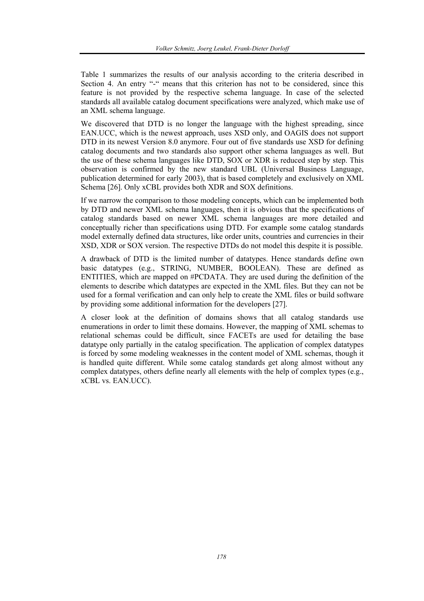Table 1 summarizes the results of our analysis according to the criteria described in Section 4. An entry "-" means that this criterion has not to be considered, since this feature is not provided by the respective schema language. In case of the selected standards all available catalog document specifications were analyzed, which make use of an XML schema language.

We discovered that DTD is no longer the language with the highest spreading, since EAN.UCC, which is the newest approach, uses XSD only, and OAGIS does not support DTD in its newest Version 8.0 anymore. Four out of five standards use XSD for defining catalog documents and two standards also support other schema languages as well. But the use of these schema languages like DTD, SOX or XDR is reduced step by step. This observation is confirmed by the new standard UBL (Universal Business Language, publication determined for early 2003), that is based completely and exclusively on XML Schema [26]. Only xCBL provides both XDR and SOX definitions.

If we narrow the comparison to those modeling concepts, which can be implemented both by DTD and newer XML schema languages, then it is obvious that the specifications of catalog standards based on newer XML schema languages are more detailed and conceptually richer than specifications using DTD. For example some catalog standards model externally defined data structures, like order units, countries and currencies in their XSD, XDR or SOX version. The respective DTDs do not model this despite it is possible.

A drawback of DTD is the limited number of datatypes. Hence standards define own basic datatypes (e.g., STRING, NUMBER, BOOLEAN). These are defined as ENTITIES, which are mapped on #PCDATA. They are used during the definition of the elements to describe which datatypes are expected in the XML files. But they can not be used for a formal verification and can only help to create the XML files or build software by providing some additional information for the developers [27].

A closer look at the definition of domains shows that all catalog standards use enumerations in order to limit these domains. However, the mapping of XML schemas to relational schemas could be difficult, since FACETs are used for detailing the base datatype only partially in the catalog specification. The application of complex datatypes is forced by some modeling weaknesses in the content model of XML schemas, though it is handled quite different. While some catalog standards get along almost without any complex datatypes, others define nearly all elements with the help of complex types (e.g., xCBL vs. EAN.UCC).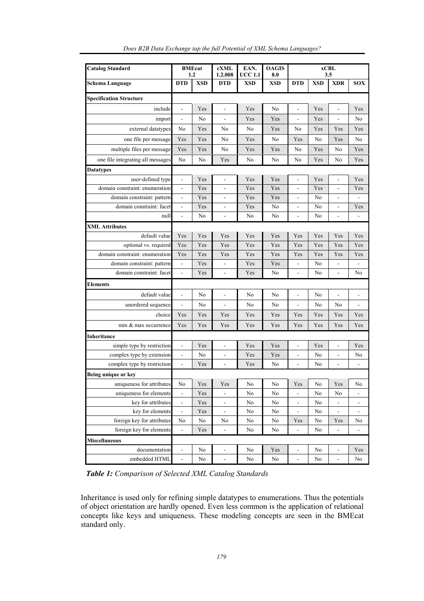| <b>Catalog Standard</b>           | <b>BMEcat</b><br>1.2     |            | cXML<br>1.2.008              | EAN.<br>UCC 1.1 | <b>OAGIS</b><br>8.0 | xCBL<br>3.5              |                |                              |                              |
|-----------------------------------|--------------------------|------------|------------------------------|-----------------|---------------------|--------------------------|----------------|------------------------------|------------------------------|
| Schema Language                   | <b>DTD</b>               | <b>XSD</b> | <b>DTD</b>                   | <b>XSD</b>      | XSD                 | <b>DTD</b>               | XSD            | <b>XDR</b>                   | <b>SOX</b>                   |
| <b>Specification Structure</b>    |                          |            |                              |                 |                     |                          |                |                              |                              |
| include                           | $\overline{\phantom{a}}$ | Yes        | -                            | Yes             | N <sub>0</sub>      | ÷                        | Yes            | $\qquad \qquad \blacksquare$ | Yes                          |
| import                            | $\overline{a}$           | No         | L.                           | Yes             | Yes                 | $\overline{a}$           | Yes            | $\overline{a}$               | No                           |
| external datatypes                | No                       | Yes        | No                           | No              | Yes                 | No                       | Yes            | Yes                          | Yes                          |
| one file per message              | Yes                      | Yes        | No                           | Yes             | No                  | Yes                      | No             | Yes                          | No                           |
| multiple files per message        | Yes                      | Yes        | N <sub>0</sub>               | Yes             | Yes                 | N <sub>0</sub>           | Yes            | No                           | Yes                          |
| one file integrating all messages | No                       | No         | Yes                          | No              | No                  | No                       | Yes            | No                           | Yes                          |
| <b>Datatypes</b>                  |                          |            |                              |                 |                     |                          |                |                              |                              |
| user-defined type                 | $\frac{1}{2}$            | Yes        | $\overline{a}$               | Yes             | Yes                 | $\overline{a}$           | Yes            | $\frac{1}{2}$                | Yes                          |
| domain constraint: enumeration    | $\overline{a}$           | Yes        | $\overline{a}$               | Yes             | Yes                 | $\overline{a}$           | Yes            | $\overline{a}$               | Yes                          |
| domain constraint: pattern        | ÷,                       | Yes        | ÷.                           | Yes             | Yes                 | $\overline{a}$           | No             | $\qquad \qquad \blacksquare$ |                              |
| domain constraint: facet          | $\overline{a}$           | Yes        | $\overline{a}$               | Yes             | No                  | $\overline{\phantom{a}}$ | No             | $\overline{\phantom{a}}$     | Yes                          |
| null                              | $\overline{a}$           | No         | $\blacksquare$               | No              | No                  | $\blacksquare$           | No             | $\overline{\phantom{a}}$     |                              |
| <b>XML Attributes</b>             |                          |            |                              |                 |                     |                          |                |                              |                              |
| default value                     | Yes                      | Yes        | Yes                          | Yes             | Yes                 | Yes                      | Yes            | Yes                          | Yes                          |
| optional vs. required             | Yes                      | Yes        | Yes                          | Yes             | Yes                 | Yes                      | Yes            | Yes                          | Yes                          |
| domain constraint: enumeration    | Yes                      | Yes        | Yes                          | Yes             | Yes                 | Yes                      | Yes            | Yes                          | Yes                          |
| domain constraint: pattern        | $\frac{1}{2}$            | Yes        | $\overline{a}$               | Yes             | Yes                 | $\frac{1}{2}$            | No             | $\blacksquare$               |                              |
| domain constraint: facet          | $\overline{a}$           | Yes        | $\blacksquare$               | Yes             | No                  | $\overline{\phantom{0}}$ | No             | $\overline{a}$               | N <sub>0</sub>               |
| Elements                          |                          |            |                              |                 |                     |                          |                |                              |                              |
| default value                     | $\overline{a}$           | No         | $\overline{a}$               | No              | No                  | $\overline{a}$           | No             | $\overline{a}$               |                              |
| unordered sequence                | $\overline{a}$           | No         |                              | No              | No                  | $\overline{a}$           | No             | No                           |                              |
| choice                            | Yes                      | Yes        | Yes                          | Yes             | Yes                 | Yes                      | Yes            | Yes                          | Yes                          |
| min & max occurrence              | Yes                      | Yes        | Yes                          | Yes             | Yes                 | Yes                      | Yes            | Yes                          | Yes                          |
| Inheritance                       |                          |            |                              |                 |                     |                          |                |                              |                              |
| simple type by restriction        | $\overline{a}$           | Yes        | $\overline{a}$               | Yes             | Yes                 | $\overline{a}$           | Yes            | $\frac{1}{2}$                | Yes                          |
| complex type by extension         | $\overline{\phantom{a}}$ | No         | $\blacksquare$               | Yes             | Yes                 | $\overline{\phantom{a}}$ | No             | $\blacksquare$               | No                           |
| complex type by restriction       | $\overline{a}$           | Yes        | $\overline{a}$               | Yes             | No                  | $\overline{a}$           | N <sub>0</sub> | $\overline{a}$               |                              |
| Being unique or key               |                          |            |                              |                 |                     |                          |                |                              |                              |
| uniqueness for attributes         | No                       | Yes        | Yes                          | No              | No                  | Yes                      | No             | Yes                          | No                           |
| uniqueness for elements           | $\overline{a}$           | Yes        |                              | No              | No                  | ÷                        | No             | No                           |                              |
| key for attributes                | $\overline{a}$           | Yes        | $\overline{a}$               | No              | No                  | $\frac{1}{2}$            | No             |                              |                              |
| key for elements                  | $\overline{\phantom{a}}$ | Yes        | ÷,                           | No              | No                  | $\blacksquare$           | No             | $\frac{1}{2}$                |                              |
| foreign key for attributes        | No                       | No         | No                           | No              | No                  | Yes                      | No             | Yes                          | No                           |
| foreign key for elements          | $\blacksquare$           | Yes        | $\qquad \qquad \blacksquare$ | No              | No                  | $\frac{1}{2}$            | No             | $\blacksquare$               | $\qquad \qquad \blacksquare$ |
| <b>Miscellaneous</b>              |                          |            |                              |                 |                     |                          |                |                              |                              |
| documentation                     | $\overline{a}$           | No         | $\qquad \qquad \blacksquare$ | No              | Yes                 | $\overline{\phantom{a}}$ | No             | $\blacksquare$               | Yes                          |
| embedded HTML                     | $\frac{1}{2}$            | No         | $\frac{1}{2}$                | No              | No                  | $\Box$                   | No             | ÷,                           | No                           |

*Does B2B Data Exchange tap the full Potential of XML Schema Languages?* 

*Table 1: Comparison of Selected XML Catalog Standards* 

Inheritance is used only for refining simple datatypes to enumerations. Thus the potentials of object orientation are hardly opened. Even less common is the application of relational concepts like keys and uniqueness. These modeling concepts are seen in the BMEcat standard only.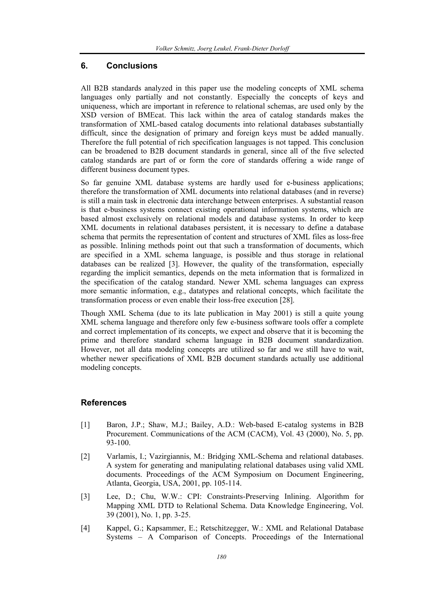### **6. Conclusions**

All B2B standards analyzed in this paper use the modeling concepts of XML schema languages only partially and not constantly. Especially the concepts of keys and uniqueness, which are important in reference to relational schemas, are used only by the XSD version of BMEcat. This lack within the area of catalog standards makes the transformation of XML-based catalog documents into relational databases substantially difficult, since the designation of primary and foreign keys must be added manually. Therefore the full potential of rich specification languages is not tapped. This conclusion can be broadened to B2B document standards in general, since all of the five selected catalog standards are part of or form the core of standards offering a wide range of different business document types.

So far genuine XML database systems are hardly used for e-business applications; therefore the transformation of XML documents into relational databases (and in reverse) is still a main task in electronic data interchange between enterprises. A substantial reason is that e-business systems connect existing operational information systems, which are based almost exclusively on relational models and database systems. In order to keep XML documents in relational databases persistent, it is necessary to define a database schema that permits the representation of content and structures of XML files as loss-free as possible. Inlining methods point out that such a transformation of documents, which are specified in a XML schema language, is possible and thus storage in relational databases can be realized [3]. However, the quality of the transformation, especially regarding the implicit semantics, depends on the meta information that is formalized in the specification of the catalog standard. Newer XML schema languages can express more semantic information, e.g., datatypes and relational concepts, which facilitate the transformation process or even enable their loss-free execution [28].

Though XML Schema (due to its late publication in May 2001) is still a quite young XML schema language and therefore only few e-business software tools offer a complete and correct implementation of its concepts, we expect and observe that it is becoming the prime and therefore standard schema language in B2B document standardization. However, not all data modeling concepts are utilized so far and we still have to wait, whether newer specifications of XML B2B document standards actually use additional modeling concepts.

## **References**

- [1] Baron, J.P.; Shaw, M.J.; Bailey, A.D.: Web-based E-catalog systems in B2B Procurement. Communications of the ACM (CACM), Vol. 43 (2000), No. 5, pp. 93-100.
- [2] Varlamis, I.; Vazirgiannis, M.: Bridging XML-Schema and relational databases. A system for generating and manipulating relational databases using valid XML documents. Proceedings of the ACM Symposium on Document Engineering, Atlanta, Georgia, USA, 2001, pp. 105-114.
- [3] Lee, D.; Chu, W.W.: CPI: Constraints-Preserving Inlining. Algorithm for Mapping XML DTD to Relational Schema. Data Knowledge Engineering, Vol. 39 (2001), No. 1, pp. 3-25.
- [4] Kappel, G.; Kapsammer, E.; Retschitzegger, W.: XML and Relational Database Systems – A Comparison of Concepts. Proceedings of the International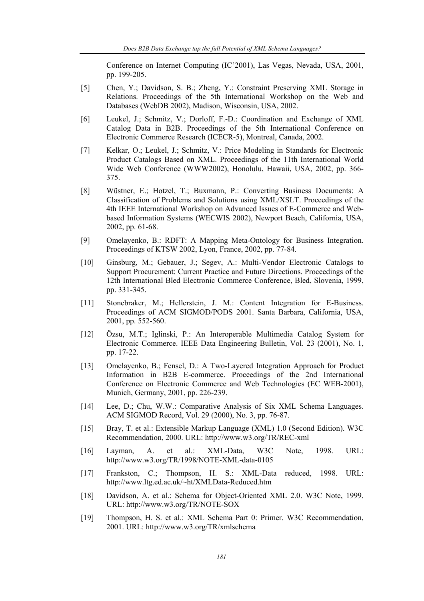Conference on Internet Computing (IC'2001), Las Vegas, Nevada, USA, 2001, pp. 199-205.

- [5] Chen, Y.; Davidson, S. B.; Zheng, Y.: Constraint Preserving XML Storage in Relations. Proceedings of the 5th International Workshop on the Web and Databases (WebDB 2002), Madison, Wisconsin, USA, 2002.
- [6] Leukel, J.; Schmitz, V.; Dorloff, F.-D.: Coordination and Exchange of XML Catalog Data in B2B. Proceedings of the 5th International Conference on Electronic Commerce Research (ICECR-5), Montreal, Canada, 2002.
- [7] Kelkar, O.; Leukel, J.; Schmitz, V.: Price Modeling in Standards for Electronic Product Catalogs Based on XML. Proceedings of the 11th International World Wide Web Conference (WWW2002), Honolulu, Hawaii, USA, 2002, pp. 366- 375.
- [8] Wüstner, E.; Hotzel, T.; Buxmann, P.: Converting Business Documents: A Classification of Problems and Solutions using XML/XSLT. Proceedings of the 4th IEEE International Workshop on Advanced Issues of E-Commerce and Webbased Information Systems (WECWIS 2002), Newport Beach, California, USA, 2002, pp. 61-68.
- [9] Omelayenko, B.: RDFT: A Mapping Meta-Ontology for Business Integration. Proceedings of KTSW 2002, Lyon, France, 2002, pp. 77-84.
- [10] Ginsburg, M.; Gebauer, J.; Segev, A.: Multi-Vendor Electronic Catalogs to Support Procurement: Current Practice and Future Directions. Proceedings of the 12th International Bled Electronic Commerce Conference, Bled, Slovenia, 1999, pp. 331-345.
- [11] Stonebraker, M.; Hellerstein, J. M.: Content Integration for E-Business. Proceedings of ACM SIGMOD/PODS 2001. Santa Barbara, California, USA, 2001, pp. 552-560.
- [12] Özsu, M.T.; Iglinski, P.: An Interoperable Multimedia Catalog System for Electronic Commerce. IEEE Data Engineering Bulletin, Vol. 23 (2001), No. 1, pp. 17-22.
- [13] Omelayenko, B.; Fensel, D.: A Two-Layered Integration Approach for Product Information in B2B E-commerce. Proceedings of the 2nd International Conference on Electronic Commerce and Web Technologies (EC WEB-2001), Munich, Germany, 2001, pp. 226-239.
- [14] Lee, D.; Chu, W.W.: Comparative Analysis of Six XML Schema Languages. ACM SIGMOD Record, Vol. 29 (2000), No. 3, pp. 76-87.
- [15] Bray, T. et al.: Extensible Markup Language (XML) 1.0 (Second Edition). W3C Recommendation, 2000. URL: http://www.w3.org/TR/REC-xml
- [16] Layman, A. et al.: XML-Data, W3C Note, 1998. URL: http://www.w3.org/TR/1998/NOTE-XML-data-0105
- [17] Frankston, C.; Thompson, H. S.: XML-Data reduced, 1998. URL: http://www.ltg.ed.ac.uk/~ht/XMLData-Reduced.htm
- [18] Davidson, A. et al.: Schema for Object-Oriented XML 2.0. W3C Note, 1999. URL: http://www.w3.org/TR/NOTE-SOX
- [19] Thompson, H. S. et al.: XML Schema Part 0: Primer. W3C Recommendation, 2001. URL: http://www.w3.org/TR/xmlschema